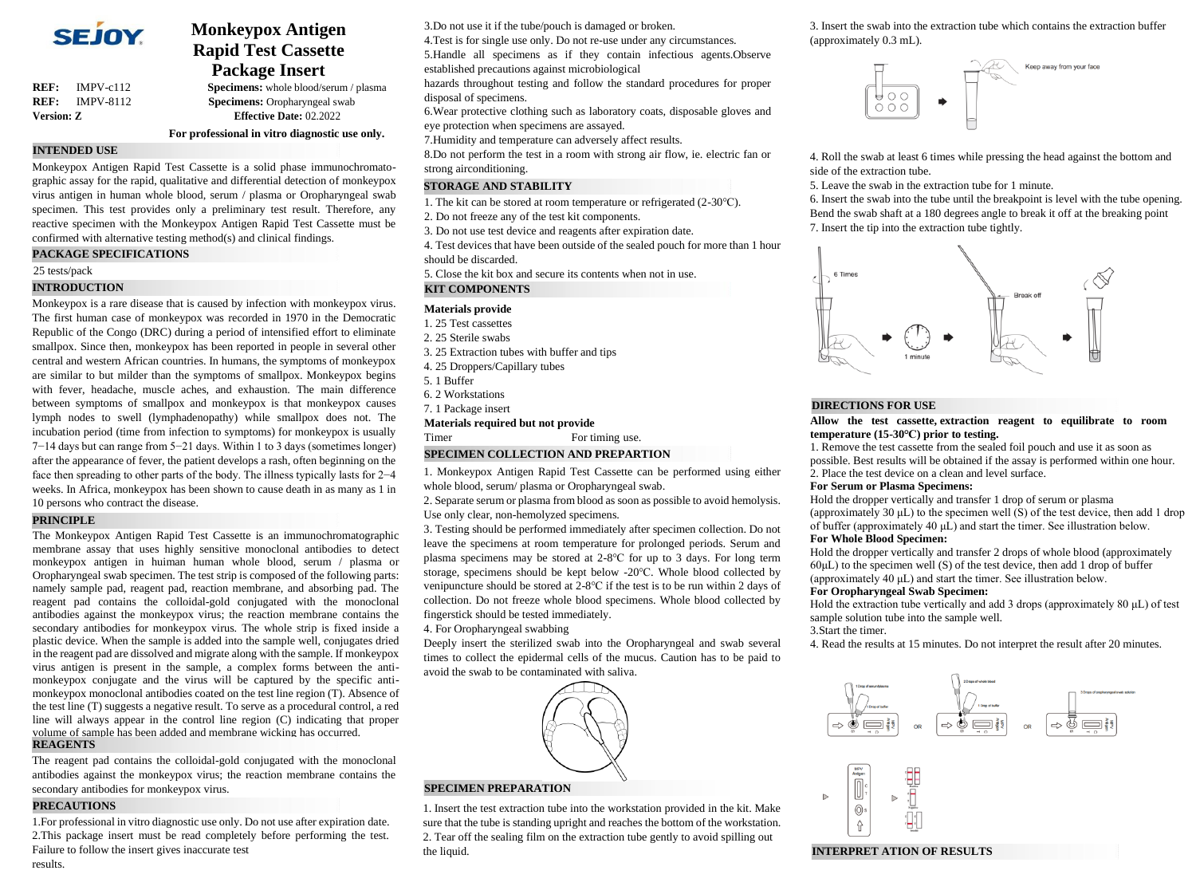

**REF:** IMPV-c112 **Specimens:** whole blood/serum / plasma

**Monkeypox Antigen Rapid Test Cassette Package Insert**

**REF:** IMPV-8112 **Specimens:** Oropharyngeal swab **Version: Z Effective Date:** 02.2022

**For professional in vitro diagnostic use only.**

# **INTENDED USE**

Monkeypox Antigen Rapid Test Cassette is a solid phase immunochromatographic assay for the rapid, qualitative and differential detection of monkeypox virus antigen in human whole blood, serum / plasma or Oropharyngeal swab specimen. This test provides only a preliminary test result. Therefore, any reactive specimen with the Monkeypox Antigen Rapid Test Cassette must be confirmed with alternative testing method(s) and clinical findings.

### **PACKAGE SPECIFICATIONS**

#### 25 tests/pack

### **INTRODUCTION**

Monkeypox is a rare disease that is caused by infection with monkeypox virus. The first human case of monkeypox was recorded in 1970 in the Democratic Republic of the Congo (DRC) during a period of intensified effort to eliminate smallpox. Since then, monkeypox has been reported in people in several other central and western African countries. In humans, the symptoms of monkeypox are similar to but milder than the symptoms of smallpox. Monkeypox begins with fever, headache, muscle aches, and exhaustion. The main difference between symptoms of smallpox and monkeypox is that monkeypox causes lymph nodes to swell (lymphadenopathy) while smallpox does not. The incubation period (time from infection to symptoms) for monkeypox is usually 7−14 days but can range from 5−21 days. Within 1 to 3 days (sometimes longer) after the appearance of fever, the patient develops a rash, often beginning on the face then spreading to other parts of the body. The illness typically lasts for 2−4 weeks. In Africa, monkeypox has been shown to cause death in as many as 1 in 10 persons who contract the disease.

## **PRINCIPLE**

The Monkeypox Antigen Rapid Test Cassette is an immunochromatographic membrane assay that uses highly sensitive monoclonal antibodies to detect monkeypox antigen in huiman human whole blood, serum / plasma or Oropharyngeal swab specimen. The test strip is composed of the following parts: namely sample pad, reagent pad, reaction membrane, and absorbing pad. The reagent pad contains the colloidal-gold conjugated with the monoclonal antibodies against the monkeypox virus; the reaction membrane contains the secondary antibodies for monkeypox virus. The whole strip is fixed inside a plastic device. When the sample is added into the sample well, conjugates dried in the reagent pad are dissolved and migrate along with the sample. If monkeypox virus antigen is present in the sample, a complex forms between the antimonkeypox conjugate and the virus will be captured by the specific antimonkeypox monoclonal antibodies coated on the test line region (T). Absence of the test line (T) suggests a negative result. To serve as a procedural control, a red line will always appear in the control line region (C) indicating that proper volume of sample has been added and membrane wicking has occurred. **REAGENTS**

The reagent pad contains the colloidal-gold conjugated with the monoclonal antibodies against the monkeypox virus; the reaction membrane contains the secondary antibodies for monkeypox virus.

#### **PRECAUTIONS**

1.For professional in vitro diagnostic use only. Do not use after expiration date. 2.This package insert must be read completely before performing the test. Failure to follow the insert gives inaccurate test results.

3.Do not use it if the tube/pouch is damaged or broken.

4.Test is for single use only. Do not re-use under any circumstances.

5.Handle all specimens as if they contain infectious agents.Observe established precautions against microbiological

hazards throughout testing and follow the standard procedures for proper disposal of specimens.

6.Wear protective clothing such as laboratory coats, disposable gloves and eye protection when specimens are assayed.

7.Humidity and temperature can adversely affect results.

8.Do not perform the test in a room with strong air flow, ie. electric fan or strong airconditioning.

### **STORAGE AND STABILITY**

- 1. The kit can be stored at room temperature or refrigerated (2-30℃).
- 2. Do not freeze any of the test kit components.
- 3. Do not use test device and reagents after expiration date.
- 4. Test devices that have been outside of the sealed pouch for more than 1 hour should be discarded.

5. Close the kit box and secure its contents when not in use.

## **KIT COMPONENTS**

#### **Materials provide**

- 1. 25 Test cassettes
- 2. 25 Sterile swabs
- 3. 25 Extraction tubes with buffer and tips
- 4. 25 Droppers/Capillary tubes
- 5. 1 Buffer
- 6. 2 Workstations
- 7. 1 Package insert

### **Materials required but not provide**

Timer For timing use.

## **SPECIMEN COLLECTION AND PREPARTION**

1. Monkeypox Antigen Rapid Test Cassette can be performed using either whole blood, serum/ plasma or Oropharyngeal swab.

2. Separate serum or plasma from blood as soon as possible to avoid hemolysis. Use only clear, non-hemolyzed specimens.

3. Testing should be performed immediately after specimen collection. Do not leave the specimens at room temperature for prolonged periods. Serum and plasma specimens may be stored at 2-8℃ for up to 3 days. For long term storage, specimens should be kept below -20℃. Whole blood collected by venipuncture should be stored at 2-8℃ if the test is to be run within 2 days of collection. Do not freeze whole blood specimens. Whole blood collected by fingerstick should be tested immediately.

#### 4. For Oropharyngeal swabbing

Deeply insert the sterilized swab into the Oropharyngeal and swab several times to collect the epidermal cells of the mucus. Caution has to be paid to avoid the swab to be contaminated with saliva.



# **SPECIMEN PREPARATION**

1. Insert the test extraction tube into the workstation provided in the kit. Make sure that the tube is standing upright and reaches the bottom of the workstation. 2. Tear off the sealing film on the extraction tube gently to avoid spilling out the liquid.

3. Insert the swab into the extraction tube which contains the extraction buffer (approximately 0.3 mL).



4. Roll the swab at least 6 times while pressing the head against the bottom and side of the extraction tube.

5. Leave the swab in the extraction tube for 1 minute.

6. Insert the swab into the tube until the breakpoint is level with the tube opening. Bend the swab shaft at a 180 degrees angle to break it off at the breaking point 7. Insert the tip into the extraction tube tightly.



# **DIRECTIONS FOR USE**

### **Allow the test cassette, extraction reagent to equilibrate to room temperature (15-30℃) prior to testing.**

1. Remove the test cassette from the sealed foil pouch and use it as soon as possible. Best results will be obtained if the assay is performed within one hour. 2. Place the test device on a clean and level surface.

## **For Serum or Plasma Specimens:**

Hold the dropper vertically and transfer 1 drop of serum or plasma (approximately 30 μL) to the specimen well (S) of the test device, then add 1 drop of buffer (approximately 40 μL) and start the timer. See illustration below.

## **For Whole Blood Specimen:**

Hold the dropper vertically and transfer 2 drops of whole blood (approximately  $60\mu$ L) to the specimen well (S) of the test device, then add 1 drop of buffer (approximately 40 μL) and start the timer. See illustration below.

#### **For Oropharyngeal Swab Specimen:**

Hold the extraction tube vertically and add 3 drops (approximately  $80 \mu L$ ) of test sample solution tube into the sample well.

#### 3.Start the timer.

4. Read the results at 15 minutes. Do not interpret the result after 20 minutes.



#### **INTERPRET ATION OF RESULTS**